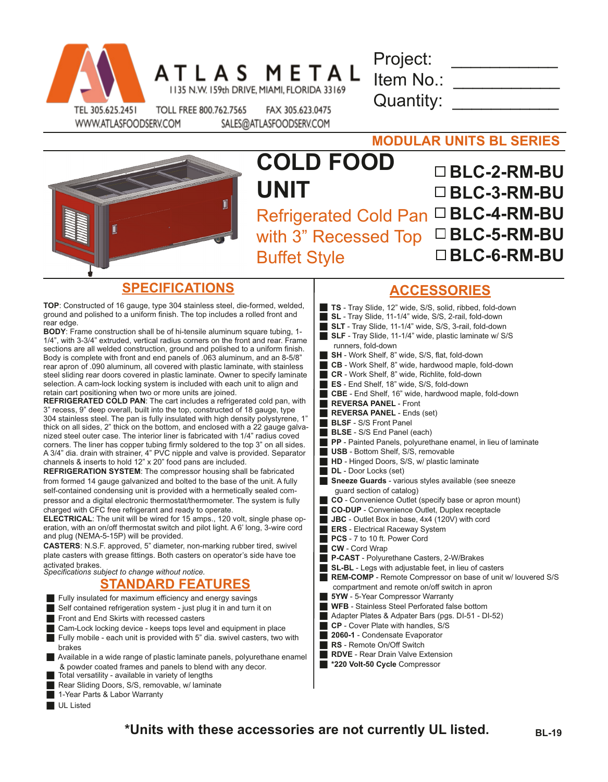

1135 N.W. 159th DRIVE, MIAMI, FLORIDA 33169 TOLL FREE 800.762.7565 FAX 305.623.0475

ATLAS METAL

WWW.ATLASFOODSERV.COM

SALES@ATLASFOODSERV.COM

| Project:  |  |
|-----------|--|
| Item No.: |  |
| Quantity: |  |

**MODULAR UNITS BL SERIES**



#### **COLD FOOD UNIT Refrigerated Cold Pan □ BLC-4-RM-BU** with 3" Recessed Top Buffet Style **BLC-2-RM-BU BLC-3-RM-BU BLC-5-RM-BU BLC-6-RM-BU**

## **SPECIFICATIONS**

**TOP**: Constructed of 16 gauge, type 304 stainless steel, die-formed, welded, ground and polished to a uniform finish. The top includes a rolled front and rear edge.

**BODY**: Frame construction shall be of hi-tensile aluminum square tubing, 1- 1/4", with 3-3/4" extruded, vertical radius corners on the front and rear. Frame sections are all welded construction, ground and polished to a uniform finish. Body is complete with front and end panels of .063 aluminum, and an 8-5/8" rear apron of .090 aluminum, all covered with plastic laminate, with stainless steel sliding rear doors covered in plastic laminate. Owner to specify laminate selection. A cam-lock locking system is included with each unit to align and retain cart positioning when two or more units are joined.

**REFRIGERATED COLD PAN**: The cart includes a refrigerated cold pan, with 3" recess, 9" deep overall, built into the top, constructed of 18 gauge, type 304 stainless steel. The pan is fully insulated with high density polystyrene, 1" thick on all sides, 2" thick on the bottom, and enclosed with a 22 gauge galvanized steel outer case. The interior liner is fabricated with 1/4" radius coved corners. The liner has copper tubing firmly soldered to the top 3" on all sides. A 3/4" dia. drain with strainer, 4" PVC nipple and valve is provided. Separator channels & inserts to hold 12" x 20" food pans are included.

**REFRIGERATION SYSTEM**: The compressor housing shall be fabricated from formed 14 gauge galvanized and bolted to the base of the unit. A fully self-contained condensing unit is provided with a hermetically sealed compressor and a digital electronic thermostat/thermometer. The system is fully charged with CFC free refrigerant and ready to operate.

**ELECTRICAL**: The unit will be wired for 15 amps., 120 volt, single phase operation, with an on/off thermostat switch and pilot light. A 6' long, 3-wire cord and plug (NEMA-5-15P) will be provided.

**CASTERS**: N.S.F. approved, 5" diameter, non-marking rubber tired, swivel plate casters with grease fittings. Both casters on operator's side have toe activated brakes.<br>Specifications subject to change without notice.

# *Specifications subject to change without notice.* **STANDARD FEATURES**

- **Fully insulated for maximum efficiency and energy savings**
- $\blacksquare$  Self contained refrigeration system just plug it in and turn it on
- **Front and End Skirts with recessed casters**
- Cam-Lock locking device keeps tops level and equipment in place
- **Fully mobile each unit is provided with 5" dia. swivel casters, two with** brakes
- Available in a wide range of plastic laminate panels, polyurethane enamel & powder coated frames and panels to blend with any decor.
- Total versatility available in variety of lengths
- **Rear Sliding Doors, S/S, removable, w/ laminate** ■ 1-Year Parts & Labor Warranty

**UL** Listed

### **ACCESSORIES**

- **TS** Tray Slide, 12" wide, S/S, solid, ribbed, fold-down **SL** - Tray Slide, 11-1/4" wide, S/S, 2-rail, fold-down **SLT** - Tray Slide, 11-1/4" wide, S/S, 3-rail, fold-down g **SLF** - Tray Slide, 11-1/4" wide, plastic laminate w/ S/S runners, fold-down SH - Work Shelf, 8" wide, S/S, flat, fold-down g **CB** - Work Shelf, 8" wide, hardwood maple, fold-down g **CR** - Work Shelf, 8" wide, Richlite, fold-down **ES** - End Shelf, 18" wide, S/S, fold-down **CBE** - End Shelf, 16" wide, hardwood maple, fold-down **REVERSA PANEL - Front REVERSA PANEL** - Ends (set) **BLSF** - S/S Front Panel **BLSE** - S/S End Panel (each) **PP** - Painted Panels, polyurethane enamel, in lieu of laminate **USB** - Bottom Shelf, S/S, removable **HD** - Hinged Doors, S/S, w/ plastic laminate **DL** - Door Locks (set) **Sneeze Guards** - various styles available (see sneeze guard section of catalog) g **CO** - Convenience Outlet (specify base or apron mount) g **CO-DUP** - Convenience Outlet, Duplex receptacle **JBC** - Outlet Box in base, 4x4 (120V) with cord **ERS** - Electrical Raceway System PCS - 7 to 10 ft. Power Cord g **CW** - Cord Wrap g **P-CAST** - Polyurethane Casters, 2-W/Brakes **SL-BL** - Legs with adjustable feet, in lieu of casters REM-COMP - Remote Compressor on base of unit w/ louvered S/S compartment and remote on/off switch in apron **5YW** - 5-Year Compressor Warranty WFB - Stainless Steel Perforated false bottom g Adapter Plates & Adpater Bars (pgs. DI-51 - DI-52) g **CP** - Cover Plate with handles, S/S **2060-1 - Condensate Evaporator**<br> **RS** - Remote On/Off Switch **RS** - Remote On/Off Switch **RDVE** - Rear Drain Valve Extension
	- g **\*220 Volt-50 Cycle** Compressor
- 

## **\*Units with these accessories are not currently UL listed.**